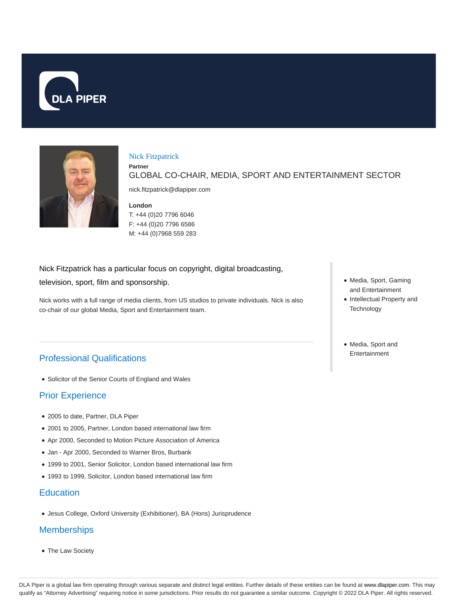



### Nick Fitzpatrick

GLOBAL CO-CHAIR, MEDIA, SPORT AND ENTERTAINMENT SECTOR

nick.fitzpatrick@dlapiper.com

### **London**

**Partner**

T: +44 (0)20 7796 6046 F: +44 (0)20 7796 6586 M: +44 (0)7968 559 283

Nick Fitzpatrick has a particular focus on copyright, digital broadcasting,

television, sport, film and sponsorship.

Nick works with a full range of media clients, from US studios to private individuals. Nick is also co-chair of our global Media, Sport and Entertainment team.

# Professional Qualifications

Solicitor of the Senior Courts of England and Wales

## Prior Experience

- 2005 to date, Partner, DLA Piper
- 2001 to 2005, Partner, London based international law firm
- Apr 2000, Seconded to Motion Picture Association of America
- Jan Apr 2000, Seconded to Warner Bros, Burbank
- 1999 to 2001, Senior Solicitor, London based international law firm
- 1993 to 1999, Solicitor, London based international law firm

### **Education**

Jesus College, Oxford University (Exhibitioner), BA (Hons) Jurisprudence

## **Memberships**

The Law Society

- Media, Sport, Gaming and Entertainment
- Intellectual Property and **Technology**
- Media, Sport and Entertainment